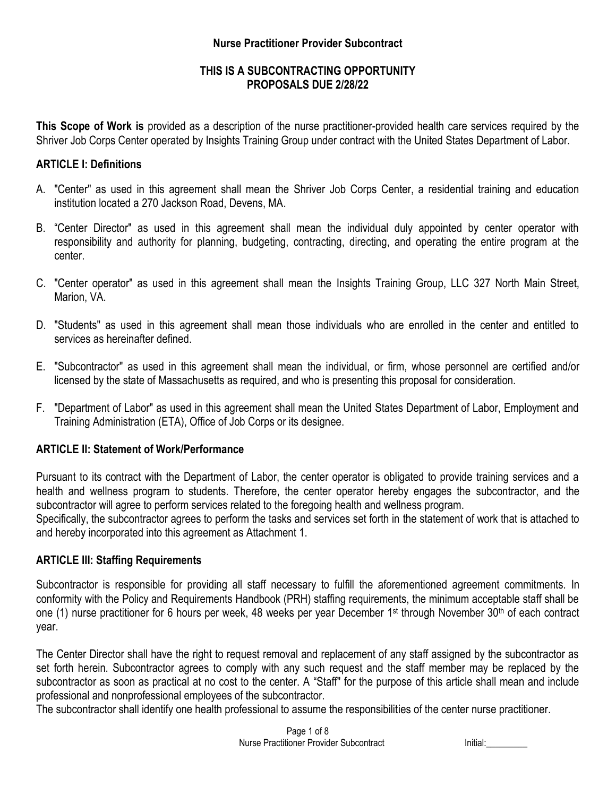### **Nurse Practitioner Provider Subcontract**

### **THIS IS A SUBCONTRACTING OPPORTUNITY PROPOSALS DUE 2/28/22**

**This Scope of Work is** provided as a description of the nurse practitioner-provided health care services required by the Shriver Job Corps Center operated by Insights Training Group under contract with the United States Department of Labor.

#### **ARTICLE I: Definitions**

- A. "Center" as used in this agreement shall mean the Shriver Job Corps Center, a residential training and education institution located a 270 Jackson Road, Devens, MA.
- B. "Center Director" as used in this agreement shall mean the individual duly appointed by center operator with responsibility and authority for planning, budgeting, contracting, directing, and operating the entire program at the center.
- C. "Center operator" as used in this agreement shall mean the Insights Training Group, LLC 327 North Main Street, Marion, VA.
- D. "Students" as used in this agreement shall mean those individuals who are enrolled in the center and entitled to services as hereinafter defined.
- E. "Subcontractor" as used in this agreement shall mean the individual, or firm, whose personnel are certified and/or licensed by the state of Massachusetts as required, and who is presenting this proposal for consideration.
- F. "Department of Labor" as used in this agreement shall mean the United States Department of Labor, Employment and Training Administration (ETA), Office of Job Corps or its designee.

# **ARTICLE II: Statement of Work/Performance**

Pursuant to its contract with the Department of Labor, the center operator is obligated to provide training services and a health and wellness program to students. Therefore, the center operator hereby engages the subcontractor, and the subcontractor will agree to perform services related to the foregoing health and wellness program.

Specifically, the subcontractor agrees to perform the tasks and services set forth in the statement of work that is attached to and hereby incorporated into this agreement as Attachment 1.

#### **ARTICLE III: Staffing Requirements**

Subcontractor is responsible for providing all staff necessary to fulfill the aforementioned agreement commitments. In conformity with the Policy and Requirements Handbook (PRH) staffing requirements, the minimum acceptable staff shall be one (1) nurse practitioner for 6 hours per week, 48 weeks per year December 1st through November 30<sup>th</sup> of each contract year.

The Center Director shall have the right to request removal and replacement of any staff assigned by the subcontractor as set forth herein. Subcontractor agrees to comply with any such request and the staff member may be replaced by the subcontractor as soon as practical at no cost to the center. A "Staff" for the purpose of this article shall mean and include professional and nonprofessional employees of the subcontractor.

The subcontractor shall identify one health professional to assume the responsibilities of the center nurse practitioner.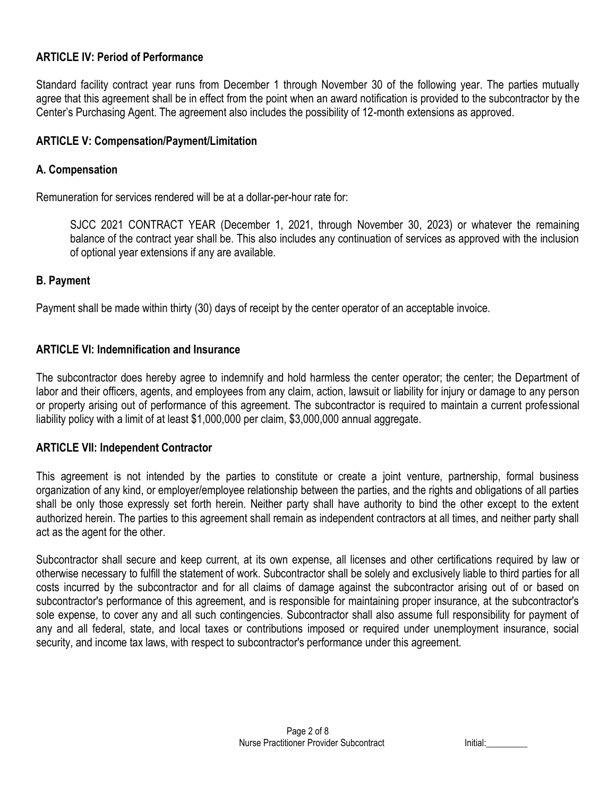## **ARTICLE IV: Period of Performance**

Standard facility contract year runs from December 1 through November 30 of the following year. The parties mutually agree that this agreement shall be in effect from the point when an award notification is provided to the subcontractor by the Center's Purchasing Agent. The agreement also includes the possibility of 12-month extensions as approved.

#### **ARTICLE V: Compensation/Payment/Limitation**

#### **A. Compensation**

Remuneration for services rendered will be at a dollar-per-hour rate for:

SJCC 2021 CONTRACT YEAR (December 1, 2021, through November 30, 2023) or whatever the remaining balance of the contract year shall be. This also includes any continuation of services as approved with the inclusion of optional year extensions if any are available.

#### **B. Payment**

Payment shall be made within thirty (30) days of receipt by the center operator of an acceptable invoice.

#### **ARTICLE VI: Indemnification and Insurance**

The subcontractor does hereby agree to indemnify and hold harmless the center operator; the center; the Department of labor and their officers, agents, and employees from any claim, action, lawsuit or liability for injury or damage to any person or property arising out of performance of this agreement. The subcontractor is required to maintain a current professional liability policy with a limit of at least \$1,000,000 per claim, \$3,000,000 annual aggregate.

#### **ARTICLE VII: Independent Contractor**

This agreement is not intended by the parties to constitute or create a joint venture, partnership, formal business organization of any kind, or employer/employee relationship between the parties, and the rights and obligations of all parties shall be only those expressly set forth herein. Neither party shall have authority to bind the other except to the extent authorized herein. The parties to this agreement shall remain as independent contractors at all times, and neither party shall act as the agent for the other.

Subcontractor shall secure and keep current, at its own expense, all licenses and other certifications required by law or otherwise necessary to fulfill the statement of work. Subcontractor shall be solely and exclusively liable to third parties for all costs incurred by the subcontractor and for all claims of damage against the subcontractor arising out of or based on subcontractor's performance of this agreement, and is responsible for maintaining proper insurance, at the subcontractor's sole expense, to cover any and all such contingencies. Subcontractor shall also assume full responsibility for payment of any and all federal, state, and local taxes or contributions imposed or required under unemployment insurance, social security, and income tax laws, with respect to subcontractor's performance under this agreement.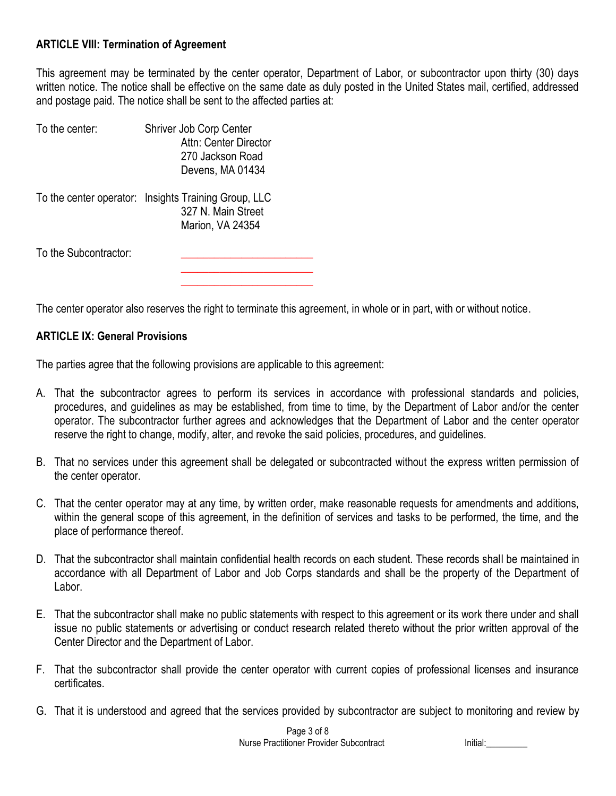## **ARTICLE VIII: Termination of Agreement**

This agreement may be terminated by the center operator, Department of Labor, or subcontractor upon thirty (30) days written notice. The notice shall be effective on the same date as duly posted in the United States mail, certified, addressed and postage paid. The notice shall be sent to the affected parties at:

| To the center:        | Shriver Job Corp Center<br>Attn: Center Director<br>270 Jackson Road<br>Devens, MA 01434       |
|-----------------------|------------------------------------------------------------------------------------------------|
|                       | To the center operator: Insights Training Group, LLC<br>327 N. Main Street<br>Marion, VA 24354 |
| To the Subcontractor: |                                                                                                |

The center operator also reserves the right to terminate this agreement, in whole or in part, with or without notice.

**\_\_\_\_\_\_\_\_\_\_\_\_\_\_\_\_\_\_\_\_\_\_\_\_**

#### **ARTICLE IX: General Provisions**

The parties agree that the following provisions are applicable to this agreement:

- A. That the subcontractor agrees to perform its services in accordance with professional standards and policies, procedures, and guidelines as may be established, from time to time, by the Department of Labor and/or the center operator. The subcontractor further agrees and acknowledges that the Department of Labor and the center operator reserve the right to change, modify, alter, and revoke the said policies, procedures, and guidelines.
- B. That no services under this agreement shall be delegated or subcontracted without the express written permission of the center operator.
- C. That the center operator may at any time, by written order, make reasonable requests for amendments and additions, within the general scope of this agreement, in the definition of services and tasks to be performed, the time, and the place of performance thereof.
- D. That the subcontractor shall maintain confidential health records on each student. These records shall be maintained in accordance with all Department of Labor and Job Corps standards and shall be the property of the Department of Labor.
- E. That the subcontractor shall make no public statements with respect to this agreement or its work there under and shall issue no public statements or advertising or conduct research related thereto without the prior written approval of the Center Director and the Department of Labor.
- F. That the subcontractor shall provide the center operator with current copies of professional licenses and insurance certificates.
- G. That it is understood and agreed that the services provided by subcontractor are subject to monitoring and review by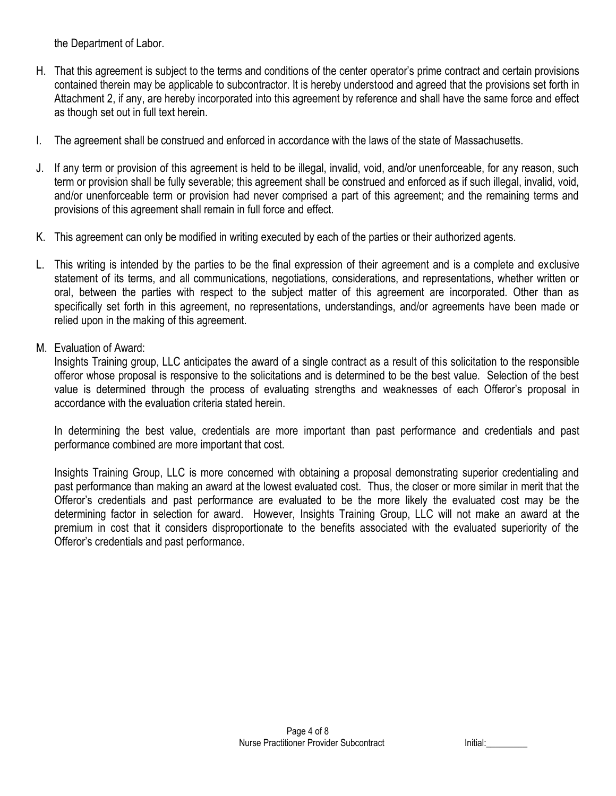the Department of Labor.

- H. That this agreement is subject to the terms and conditions of the center operator's prime contract and certain provisions contained therein may be applicable to subcontractor. It is hereby understood and agreed that the provisions set forth in Attachment 2, if any, are hereby incorporated into this agreement by reference and shall have the same force and effect as though set out in full text herein.
- I. The agreement shall be construed and enforced in accordance with the laws of the state of Massachusetts.
- J. If any term or provision of this agreement is held to be illegal, invalid, void, and/or unenforceable, for any reason, such term or provision shall be fully severable; this agreement shall be construed and enforced as if such illegal, invalid, void, and/or unenforceable term or provision had never comprised a part of this agreement; and the remaining terms and provisions of this agreement shall remain in full force and effect.
- K. This agreement can only be modified in writing executed by each of the parties or their authorized agents.
- L. This writing is intended by the parties to be the final expression of their agreement and is a complete and exclusive statement of its terms, and all communications, negotiations, considerations, and representations, whether written or oral, between the parties with respect to the subject matter of this agreement are incorporated. Other than as specifically set forth in this agreement, no representations, understandings, and/or agreements have been made or relied upon in the making of this agreement.
- M. Evaluation of Award:

Insights Training group, LLC anticipates the award of a single contract as a result of this solicitation to the responsible offeror whose proposal is responsive to the solicitations and is determined to be the best value. Selection of the best value is determined through the process of evaluating strengths and weaknesses of each Offeror's proposal in accordance with the evaluation criteria stated herein.

In determining the best value, credentials are more important than past performance and credentials and past performance combined are more important that cost.

Insights Training Group, LLC is more concerned with obtaining a proposal demonstrating superior credentialing and past performance than making an award at the lowest evaluated cost. Thus, the closer or more similar in merit that the Offeror's credentials and past performance are evaluated to be the more likely the evaluated cost may be the determining factor in selection for award. However, Insights Training Group, LLC will not make an award at the premium in cost that it considers disproportionate to the benefits associated with the evaluated superiority of the Offeror's credentials and past performance.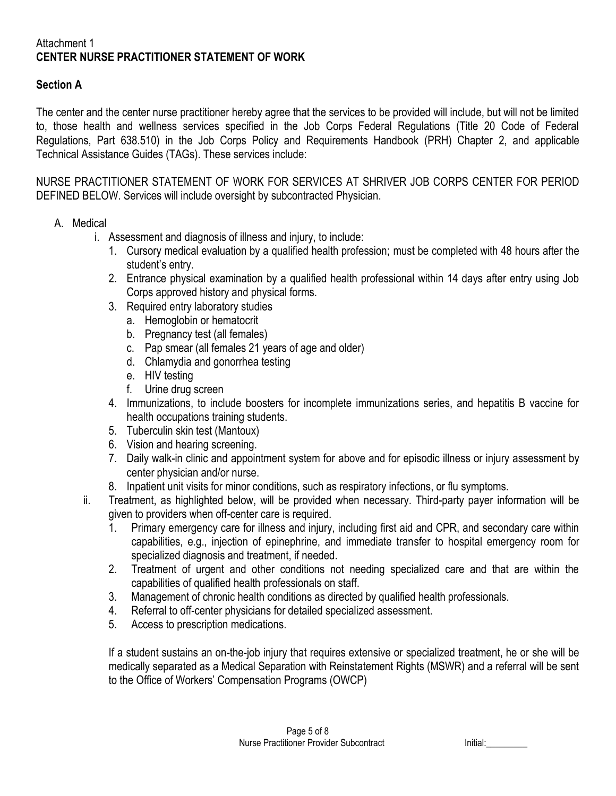#### Attachment 1 **CENTER NURSE PRACTITIONER STATEMENT OF WORK**

## **Section A**

The center and the center nurse practitioner hereby agree that the services to be provided will include, but will not be limited to, those health and wellness services specified in the Job Corps Federal Regulations (Title 20 Code of Federal Regulations, Part 638.510) in the Job Corps Policy and Requirements Handbook (PRH) Chapter 2, and applicable Technical Assistance Guides (TAGs). These services include:

NURSE PRACTITIONER STATEMENT OF WORK FOR SERVICES AT SHRIVER JOB CORPS CENTER FOR PERIOD DEFINED BELOW. Services will include oversight by subcontracted Physician.

- A. Medical
	- i. Assessment and diagnosis of illness and injury, to include:
		- 1. Cursory medical evaluation by a qualified health profession; must be completed with 48 hours after the student's entry.
		- 2. Entrance physical examination by a qualified health professional within 14 days after entry using Job Corps approved history and physical forms.
		- 3. Required entry laboratory studies
			- a. Hemoglobin or hematocrit
			- b. Pregnancy test (all females)
			- c. Pap smear (all females 21 years of age and older)
			- d. Chlamydia and gonorrhea testing
			- e. HIV testing
			- f. Urine drug screen
		- 4. Immunizations, to include boosters for incomplete immunizations series, and hepatitis B vaccine for health occupations training students.
		- 5. Tuberculin skin test (Mantoux)
		- 6. Vision and hearing screening.
		- 7. Daily walk-in clinic and appointment system for above and for episodic illness or injury assessment by center physician and/or nurse.
		- 8. Inpatient unit visits for minor conditions, such as respiratory infections, or flu symptoms.
	- ii. Treatment, as highlighted below, will be provided when necessary. Third-party payer information will be given to providers when off-center care is required.
		- 1. Primary emergency care for illness and injury, including first aid and CPR, and secondary care within capabilities, e.g., injection of epinephrine, and immediate transfer to hospital emergency room for specialized diagnosis and treatment, if needed.
		- 2. Treatment of urgent and other conditions not needing specialized care and that are within the capabilities of qualified health professionals on staff.
		- 3. Management of chronic health conditions as directed by qualified health professionals.
		- 4. Referral to off-center physicians for detailed specialized assessment.
		- 5. Access to prescription medications.

If a student sustains an on-the-job injury that requires extensive or specialized treatment, he or she will be medically separated as a Medical Separation with Reinstatement Rights (MSWR) and a referral will be sent to the Office of Workers' Compensation Programs (OWCP)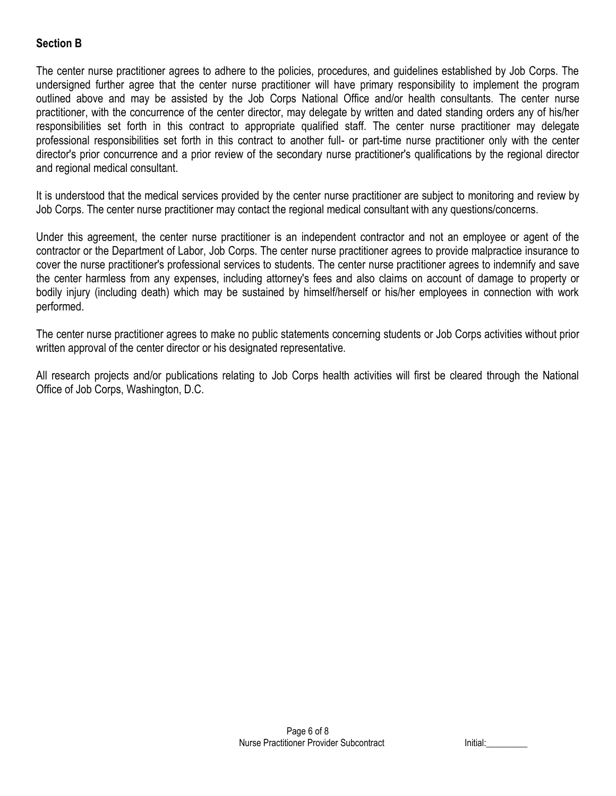# **Section B**

The center nurse practitioner agrees to adhere to the policies, procedures, and guidelines established by Job Corps. The undersigned further agree that the center nurse practitioner will have primary responsibility to implement the program outlined above and may be assisted by the Job Corps National Office and/or health consultants. The center nurse practitioner, with the concurrence of the center director, may delegate by written and dated standing orders any of his/her responsibilities set forth in this contract to appropriate qualified staff. The center nurse practitioner may delegate professional responsibilities set forth in this contract to another full- or part-time nurse practitioner only with the center director's prior concurrence and a prior review of the secondary nurse practitioner's qualifications by the regional director and regional medical consultant.

It is understood that the medical services provided by the center nurse practitioner are subject to monitoring and review by Job Corps. The center nurse practitioner may contact the regional medical consultant with any questions/concerns.

Under this agreement, the center nurse practitioner is an independent contractor and not an employee or agent of the contractor or the Department of Labor, Job Corps. The center nurse practitioner agrees to provide malpractice insurance to cover the nurse practitioner's professional services to students. The center nurse practitioner agrees to indemnify and save the center harmless from any expenses, including attorney's fees and also claims on account of damage to property or bodily injury (including death) which may be sustained by himself/herself or his/her employees in connection with work performed.

The center nurse practitioner agrees to make no public statements concerning students or Job Corps activities without prior written approval of the center director or his designated representative.

All research projects and/or publications relating to Job Corps health activities will first be cleared through the National Office of Job Corps, Washington, D.C.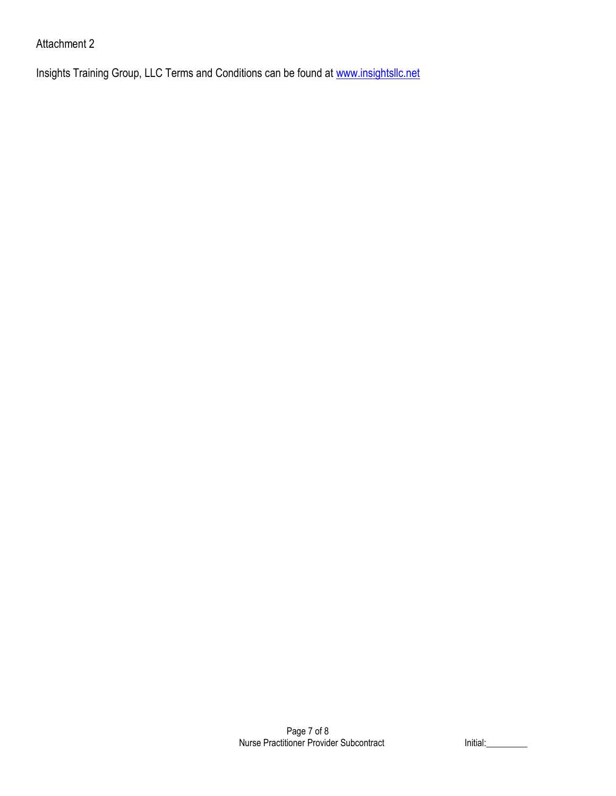# Attachment 2

Insights Training Group, LLC Terms and Conditions can be found at [www.insightsllc.net](http://www.insightsllc.net/)